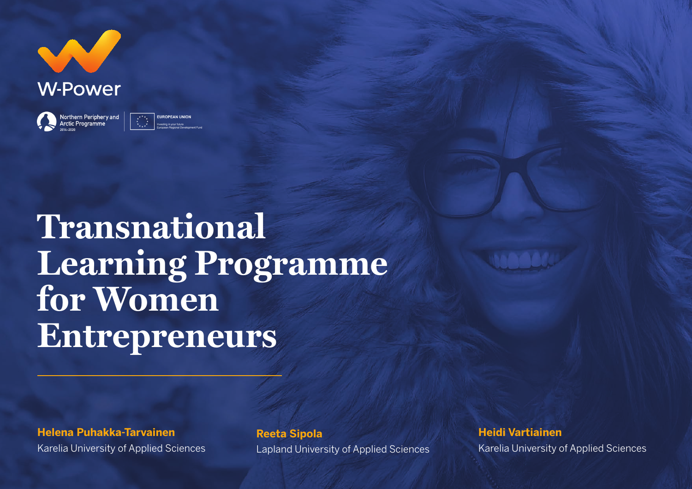

Northern Periphery and<br>Arctic Programme **EUROPEAN UNION** 

**Transnational Learning Programme for Women Entrepreneurs**

**Helena Puhakka-Tarvainen**  Karelia University of Applied Sciences

**Reeta Sipola**

Lapland University of Applied Sciences

**Heidi Vartiainen** Karelia University of Applied Sciences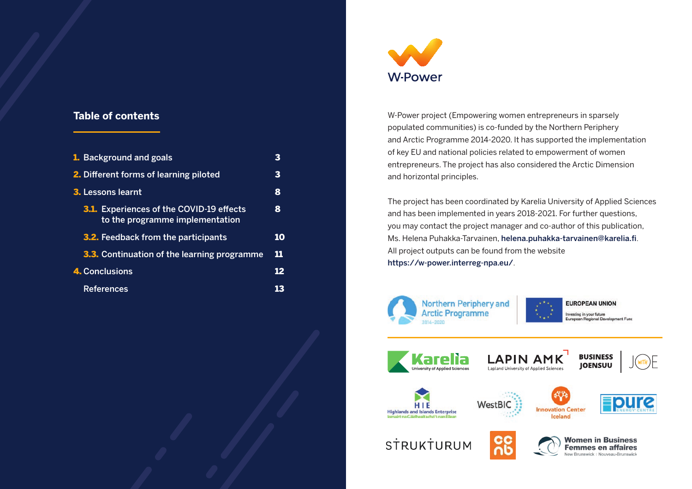#### **Table of contents**

| 1. Background and goals                                                            | 3  |
|------------------------------------------------------------------------------------|----|
| 2. Different forms of learning piloted                                             | 3  |
| <b>3.</b> Lessons learnt                                                           | 8  |
| <b>3.1.</b> Experiences of the COVID-19 effects<br>to the programme implementation | 8  |
| <b>3.2.</b> Feedback from the participants                                         | 10 |
| <b>3.3.</b> Continuation of the learning programme                                 | 11 |
| 4. Conclusions                                                                     | 12 |
| <b>References</b>                                                                  | 13 |



W-Power project (Empowering women entrepreneurs in sparsely populated communities) is co-funded by the Northern Periphery and Arctic Programme 2014-2020. It has supported the implementation of key EU and national policies related to empowerment of women entrepreneurs. The project has also considered the Arctic Dimension and horizontal principles.

The project has been coordinated by Karelia University of Applied Sciences and has been implemented in years 2018-2021. For further questions, you may contact the project manager and co-author of this publication, Ms. Helena Puhakka-Tarvainen, helena.puhakka-tarvainen@karelia.fi. All project outputs can be found from the website https://w-power.interreg-npa.eu/.





**EUROPEAN UNION** Investing in your future European Regional Develo



















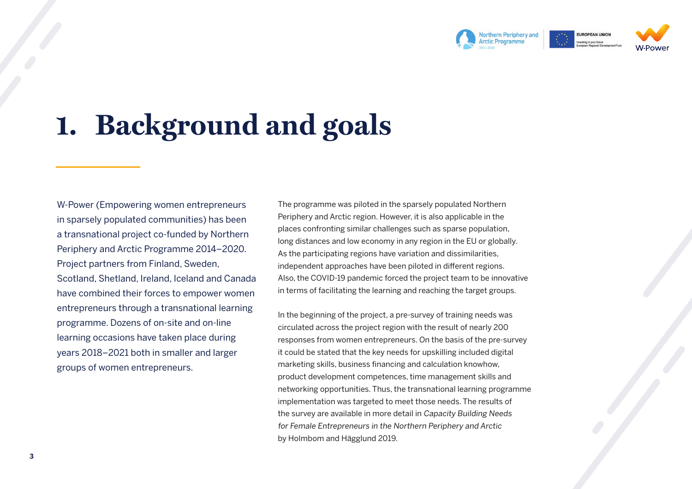

# **1. Background and goals**

W-Power (Empowering women entrepreneurs in sparsely populated communities) has been a transnational project co-funded by Northern Periphery and Arctic Programme 2014–2020. Project partners from Finland, Sweden, Scotland, Shetland, Ireland, Iceland and Canada have combined their forces to empower women entrepreneurs through a transnational learning programme. Dozens of on-site and on-line learning occasions have taken place during years 2018–2021 both in smaller and larger groups of women entrepreneurs.

The programme was piloted in the sparsely populated Northern Periphery and Arctic region. However, it is also applicable in the places confronting similar challenges such as sparse population, long distances and low economy in any region in the EU or globally. As the participating regions have variation and dissimilarities, independent approaches have been piloted in different regions. Also, the COVID-19 pandemic forced the project team to be innovative in terms of facilitating the learning and reaching the target groups.

In the beginning of the project, a pre-survey of training needs was circulated across the project region with the result of nearly 200 responses from women entrepreneurs. On the basis of the pre-survey it could be stated that the key needs for upskilling included digital marketing skills, business financing and calculation knowhow, product development competences, time management skills and networking opportunities. Thus, the transnational learning programme implementation was targeted to meet those needs. The results of the survey are available in more detail in Capacity Building Needs for Female Entrepreneurs in the Northern Periphery and Arctic by Holmbom and Hägglund 2019.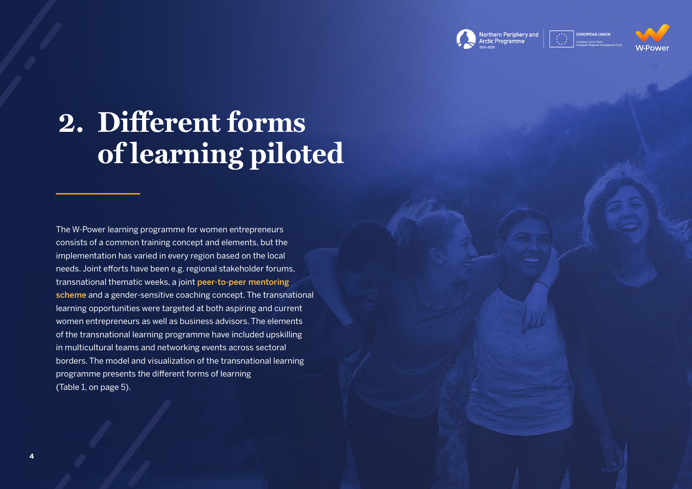

**FUROPEAN UNION** 



# **2. Different forms of learning piloted**

The W-Power learning programme for women entrepreneurs consists of a common training concept and elements, but the implementation has varied in every region based on the local needs. Joint efforts have been e.g. regional stakeholder forums, transnational thematic weeks, a joint [peer-to-peer mentoring](https://w-power.interreg-npa.eu/outputs-and-results/)  [scheme](https://w-power.interreg-npa.eu/outputs-and-results/) and a gender-sensitive coaching concept. The transnational learning opportunities were targeted at both aspiring and current women entrepreneurs as well as business advisors. The elements of the transnational learning programme have included upskilling in multicultural teams and networking events across sectoral borders. The model and visualization of the transnational learning programme presents the different forms of learning (Table 1, on page 5).

**4**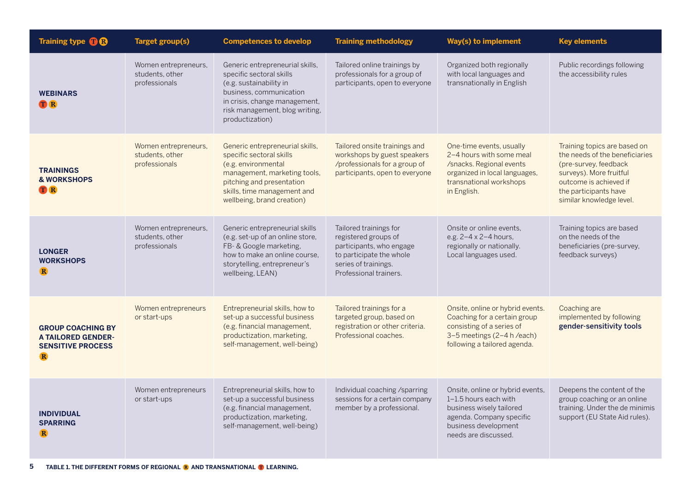| Training type <b>OB</b>                                                                          | <b>Target group(s)</b>                                   | <b>Competences to develop</b>                                                                                                                                                                                | <b>Training methodology</b>                                                                                                                              | <b>Way(s) to implement</b>                                                                                                                                        | <b>Key elements</b>                                                                                                                                                                               |
|--------------------------------------------------------------------------------------------------|----------------------------------------------------------|--------------------------------------------------------------------------------------------------------------------------------------------------------------------------------------------------------------|----------------------------------------------------------------------------------------------------------------------------------------------------------|-------------------------------------------------------------------------------------------------------------------------------------------------------------------|---------------------------------------------------------------------------------------------------------------------------------------------------------------------------------------------------|
| <b>WEBINARS</b><br><b>TR</b>                                                                     | Women entrepreneurs,<br>students, other<br>professionals | Generic entrepreneurial skills,<br>specific sectoral skills<br>(e.g. sustainability in<br>business, communication<br>in crisis, change management,<br>risk management, blog writing,<br>productization)      | Tailored online trainings by<br>professionals for a group of<br>participants, open to everyone                                                           | Organized both regionally<br>with local languages and<br>transnationally in English                                                                               | Public recordings following<br>the accessibility rules                                                                                                                                            |
| <b>TRAININGS</b><br><b>&amp; WORKSHOPS</b><br><b>T</b> R                                         | Women entrepreneurs,<br>students, other<br>professionals | Generic entrepreneurial skills,<br>specific sectoral skills<br>(e.g. environmental<br>management, marketing tools,<br>pitching and presentation<br>skills, time management and<br>wellbeing, brand creation) | Tailored onsite trainings and<br>workshops by guest speakers<br>/professionals for a group of<br>participants, open to everyone                          | One-time events, usually<br>2-4 hours with some meal<br>/snacks. Regional events<br>organized in local languages,<br>transnational workshops<br>in English.       | Training topics are based on<br>the needs of the beneficiaries<br>(pre-survey, feedback<br>surveys). More fruitful<br>outcome is achieved if<br>the participants have<br>similar knowledge level. |
| <b>LONGER</b><br><b>WORKSHOPS</b><br>$\mathbf{R}$                                                | Women entrepreneurs,<br>students, other<br>professionals | Generic entrepreneurial skills<br>(e.g. set-up of an online store,<br>FB- & Google marketing,<br>how to make an online course.<br>storytelling, entrepreneur's<br>wellbeing, LEAN)                           | Tailored trainings for<br>registered groups of<br>participants, who engage<br>to participate the whole<br>series of trainings.<br>Professional trainers. | Onsite or online events.<br>e.g. 2-4 x 2-4 hours,<br>regionally or nationally.<br>Local languages used.                                                           | Training topics are based<br>on the needs of the<br>beneficiaries (pre-survey,<br>feedback surveys)                                                                                               |
| <b>GROUP COACHING BY</b><br><b>A TAILORED GENDER-</b><br><b>SENSITIVE PROCESS</b><br>$\mathbf R$ | Women entrepreneurs<br>or start-ups                      | Entrepreneurial skills, how to<br>set-up a successful business<br>(e.g. financial management,<br>productization, marketing,<br>self-management, well-being)                                                  | Tailored trainings for a<br>targeted group, based on<br>registration or other criteria.<br>Professional coaches.                                         | Onsite, online or hybrid events.<br>Coaching for a certain group<br>consisting of a series of<br>3-5 meetings (2-4 h /each)<br>following a tailored agenda.       | Coaching are<br>implemented by following<br>gender-sensitivity tools                                                                                                                              |
| <b>INDIVIDUAL</b><br><b>SPARRING</b><br>R                                                        | Women entrepreneurs<br>or start-ups                      | Entrepreneurial skills, how to<br>set-up a successful business<br>(e.g. financial management,<br>productization, marketing,<br>self-management, well-being)                                                  | Individual coaching /sparring<br>sessions for a certain company<br>member by a professional.                                                             | Onsite, online or hybrid events,<br>1-1.5 hours each with<br>business wisely tailored<br>agenda. Company specific<br>business development<br>needs are discussed. | Deepens the content of the<br>group coaching or an online<br>training. Under the de minimis<br>support (EU State Aid rules).                                                                      |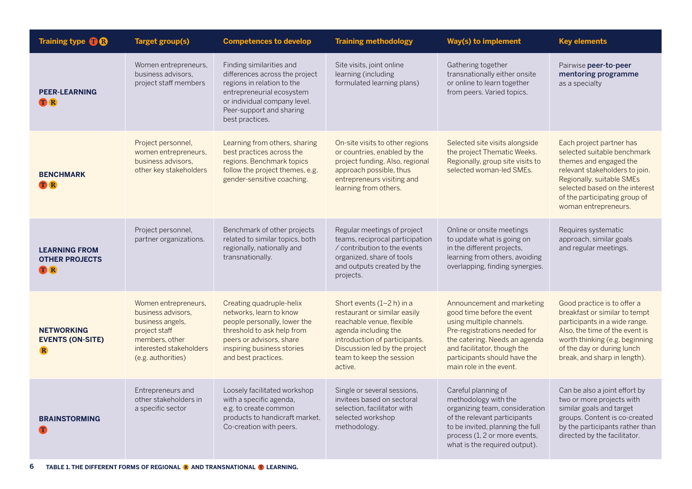| Training type <b>OB</b>                                     | <b>Target group(s)</b>                                                                                                                             | <b>Competences to develop</b>                                                                                                                                                                        | <b>Training methodology</b>                                                                                                                                                                                             | <b>Way(s) to implement</b>                                                                                                                                                                                                                      | <b>Key elements</b>                                                                                                                                                                                                                         |
|-------------------------------------------------------------|----------------------------------------------------------------------------------------------------------------------------------------------------|------------------------------------------------------------------------------------------------------------------------------------------------------------------------------------------------------|-------------------------------------------------------------------------------------------------------------------------------------------------------------------------------------------------------------------------|-------------------------------------------------------------------------------------------------------------------------------------------------------------------------------------------------------------------------------------------------|---------------------------------------------------------------------------------------------------------------------------------------------------------------------------------------------------------------------------------------------|
| <b>PEER-LEARNING</b><br><b>TR</b>                           | Women entrepreneurs,<br>business advisors.<br>project staff members                                                                                | Finding similarities and<br>differences across the project<br>regions in relation to the<br>entrepreneurial ecosystem<br>or individual company level.<br>Peer-support and sharing<br>best practices. | Site visits, joint online<br>learning (including<br>formulated learning plans)                                                                                                                                          | Gathering together<br>transnationally either onsite<br>or online to learn together<br>from peers. Varied topics.                                                                                                                                | Pairwise peer-to-peer<br>mentoring programme<br>as a specialty                                                                                                                                                                              |
| <b>BENCHMARK</b><br><b>TR</b>                               | Project personnel,<br>women entrepreneurs,<br>business advisors,<br>other key stakeholders                                                         | Learning from others, sharing<br>best practices across the<br>regions. Benchmark topics<br>follow the project themes, e.g.<br>gender-sensitive coaching.                                             | On-site visits to other regions<br>or countries, enabled by the<br>project funding. Also, regional<br>approach possible, thus<br>entrepreneurs visiting and<br>learning from others.                                    | Selected site visits alongside<br>the project Thematic Weeks.<br>Regionally, group site visits to<br>selected woman-led SMEs.                                                                                                                   | Each project partner has<br>selected suitable benchmark<br>themes and engaged the<br>relevant stakeholders to join.<br>Regionally, suitable SMEs<br>selected based on the interest<br>of the participating group of<br>woman entrepreneurs. |
| <b>LEARNING FROM</b><br><b>OTHER PROJECTS</b><br><b>TR</b>  | Project personnel,<br>partner organizations.                                                                                                       | Benchmark of other projects<br>related to similar topics, both<br>regionally, nationally and<br>transnationally.                                                                                     | Regular meetings of project<br>teams, reciprocal participation<br>/ contribution to the events<br>organized, share of tools<br>and outputs created by the<br>projects.                                                  | Online or onsite meetings<br>to update what is going on<br>in the different projects,<br>learning from others, avoiding<br>overlapping, finding synergies.                                                                                      | Requires systematic<br>approach, similar goals<br>and regular meetings.                                                                                                                                                                     |
| <b>NETWORKING</b><br><b>EVENTS (ON-SITE)</b><br>$\mathbf R$ | Women entrepreneurs,<br>business advisors,<br>business angels,<br>project staff<br>members, other<br>interested stakeholders<br>(e.g. authorities) | Creating quadruple-helix<br>networks, learn to know<br>people personally, lower the<br>threshold to ask help from<br>peers or advisors, share<br>inspiring business stories<br>and best practices.   | Short events (1-2 h) in a<br>restaurant or similar easily<br>reachable venue, flexible<br>agenda including the<br>introduction of participants.<br>Discussion led by the project<br>team to keep the session<br>active. | Announcement and marketing<br>good time before the event<br>using multiple channels.<br>Pre-registrations needed for<br>the catering. Needs an agenda<br>and facilitator, though the<br>participants should have the<br>main role in the event. | Good practice is to offer a<br>breakfast or similar to tempt<br>participants in a wide range.<br>Also, the time of the event is<br>worth thinking (e.g. beginning<br>of the day or during lunch<br>break, and sharp in length).             |
| <b>BRAINSTORMING</b>                                        | Entrepreneurs and<br>other stakeholders in<br>a specific sector                                                                                    | Loosely facilitated workshop<br>with a specific agenda,<br>e.g. to create common<br>products to handicraft market.<br>Co-creation with peers.                                                        | Single or several sessions,<br>invitees based on sectoral<br>selection, facilitator with<br>selected workshop<br>methodology.                                                                                           | Careful planning of<br>methodology with the<br>organizing team, consideration<br>of the relevant participants<br>to be invited, planning the full<br>process (1, 2 or more events,<br>what is the required output).                             | Can be also a joint effort by<br>two or more projects with<br>similar goals and target<br>groups. Content is co-created<br>by the participants rather than<br>directed by the facilitator.                                                  |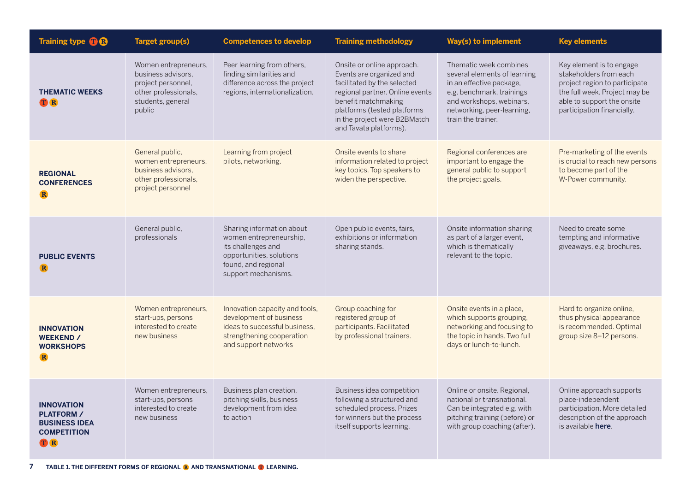| Training type <b>OB</b>                                                                           | <b>Target group(s)</b>                                                                                                  | <b>Competences to develop</b>                                                                                                                        | <b>Training methodology</b>                                                                                                                                                                                                              | <b>Way(s) to implement</b>                                                                                                                                                                      | <b>Key elements</b>                                                                                                                                                              |
|---------------------------------------------------------------------------------------------------|-------------------------------------------------------------------------------------------------------------------------|------------------------------------------------------------------------------------------------------------------------------------------------------|------------------------------------------------------------------------------------------------------------------------------------------------------------------------------------------------------------------------------------------|-------------------------------------------------------------------------------------------------------------------------------------------------------------------------------------------------|----------------------------------------------------------------------------------------------------------------------------------------------------------------------------------|
| <b>THEMATIC WEEKS</b><br><b>TR</b>                                                                | Women entrepreneurs,<br>business advisors.<br>project personnel,<br>other professionals,<br>students, general<br>public | Peer learning from others,<br>finding similarities and<br>difference across the project<br>regions, internationalization.                            | Onsite or online approach.<br>Events are organized and<br>facilitated by the selected<br>regional partner. Online events<br>benefit matchmaking<br>platforms (tested platforms<br>in the project were B2BMatch<br>and Tavata platforms). | Thematic week combines<br>several elements of learning<br>in an effective package,<br>e.g. benchmark, trainings<br>and workshops, webinars,<br>networking, peer-learning,<br>train the trainer. | Key element is to engage<br>stakeholders from each<br>project region to participate<br>the full week. Project may be<br>able to support the onsite<br>participation financially. |
| <b>REGIONAL</b><br><b>CONFERENCES</b><br>$\mathbf R$                                              | General public,<br>women entrepreneurs,<br>business advisors.<br>other professionals,<br>project personnel              | Learning from project<br>pilots, networking.                                                                                                         | Onsite events to share<br>information related to project<br>key topics. Top speakers to<br>widen the perspective.                                                                                                                        | Regional conferences are<br>important to engage the<br>general public to support<br>the project goals.                                                                                          | Pre-marketing of the events<br>is crucial to reach new persons<br>to become part of the<br>W-Power community.                                                                    |
| <b>PUBLIC EVENTS</b><br>$\mathbf R$                                                               | General public,<br>professionals                                                                                        | Sharing information about<br>women entrepreneurship,<br>its challenges and<br>opportunities, solutions<br>found, and regional<br>support mechanisms. | Open public events, fairs,<br>exhibitions or information<br>sharing stands.                                                                                                                                                              | Onsite information sharing<br>as part of a larger event,<br>which is thematically<br>relevant to the topic.                                                                                     | Need to create some<br>tempting and informative<br>giveaways, e.g. brochures.                                                                                                    |
| <b>INNOVATION</b><br><b>WEEKEND /</b><br><b>WORKSHOPS</b><br>$\mathbf R$                          | Women entrepreneurs,<br>start-ups, persons<br>interested to create<br>new business                                      | Innovation capacity and tools,<br>development of business<br>ideas to successful business,<br>strengthening cooperation<br>and support networks      | Group coaching for<br>registered group of<br>participants. Facilitated<br>by professional trainers.                                                                                                                                      | Onsite events in a place,<br>which supports grouping,<br>networking and focusing to<br>the topic in hands. Two full<br>days or lunch-to-lunch.                                                  | Hard to organize online,<br>thus physical appearance<br>is recommended. Optimal<br>group size 8-12 persons.                                                                      |
| <b>INNOVATION</b><br><b>PLATFORM /</b><br><b>BUSINESS IDEA</b><br><b>COMPETITION</b><br><b>TR</b> | Women entrepreneurs,<br>start-ups, persons<br>interested to create<br>new business                                      | Business plan creation,<br>pitching skills, business<br>development from idea<br>to action                                                           | Business idea competition<br>following a structured and<br>scheduled process. Prizes<br>for winners but the process<br>itself supports learning.                                                                                         | Online or onsite. Regional,<br>national or transnational.<br>Can be integrated e.g. with<br>pitching training (before) or<br>with group coaching (after).                                       | Online approach supports<br>place-independent<br>participation. More detailed<br>description of the approach<br>is available here.                                               |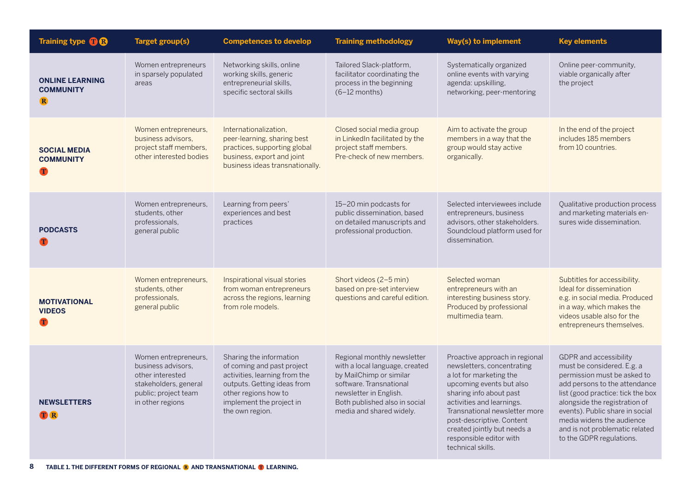| Training type <b>OB</b>                                   | <b>Target group(s)</b>                                                                                                              | <b>Competences to develop</b>                                                                                                                                                                | <b>Training methodology</b>                                                                                                                                                                                | <b>Way(s) to implement</b>                                                                                                                                                                                                                                                                                               | <b>Key elements</b>                                                                                                                                                                                                                                                                                                             |
|-----------------------------------------------------------|-------------------------------------------------------------------------------------------------------------------------------------|----------------------------------------------------------------------------------------------------------------------------------------------------------------------------------------------|------------------------------------------------------------------------------------------------------------------------------------------------------------------------------------------------------------|--------------------------------------------------------------------------------------------------------------------------------------------------------------------------------------------------------------------------------------------------------------------------------------------------------------------------|---------------------------------------------------------------------------------------------------------------------------------------------------------------------------------------------------------------------------------------------------------------------------------------------------------------------------------|
| <b>ONLINE LEARNING</b><br><b>COMMUNITY</b><br>$\mathbf R$ | Women entrepreneurs<br>in sparsely populated<br>areas                                                                               | Networking skills, online<br>working skills, generic<br>entrepreneurial skills,<br>specific sectoral skills                                                                                  | Tailored Slack-platform,<br>facilitator coordinating the<br>process in the beginning<br>$(6-12$ months)                                                                                                    | Systematically organized<br>online events with varying<br>agenda: upskilling,<br>networking, peer-mentoring                                                                                                                                                                                                              | Online peer-community,<br>viable organically after<br>the project                                                                                                                                                                                                                                                               |
| <b>SOCIAL MEDIA</b><br><b>COMMUNITY</b><br>T              | Women entrepreneurs,<br>business advisors,<br>project staff members,<br>other interested bodies                                     | Internationalization,<br>peer-learning, sharing best<br>practices, supporting global<br>business, export and joint<br>business ideas transnationally.                                        | Closed social media group<br>in LinkedIn facilitated by the<br>project staff members.<br>Pre-check of new members.                                                                                         | Aim to activate the group<br>members in a way that the<br>group would stay active<br>organically.                                                                                                                                                                                                                        | In the end of the project<br>includes 185 members<br>from 10 countries.                                                                                                                                                                                                                                                         |
| <b>PODCASTS</b><br>Т                                      | Women entrepreneurs,<br>students, other<br>professionals.<br>general public                                                         | Learning from peers'<br>experiences and best<br>practices                                                                                                                                    | 15-20 min podcasts for<br>public dissemination, based<br>on detailed manuscripts and<br>professional production.                                                                                           | Selected interviewees include<br>entrepreneurs, business<br>advisors, other stakeholders.<br>Soundcloud platform used for<br>dissemination.                                                                                                                                                                              | Qualitative production process<br>and marketing materials en-<br>sures wide dissemination.                                                                                                                                                                                                                                      |
| <b>MOTIVATIONAL</b><br><b>VIDEOS</b><br>$\mathbf T$       | Women entrepreneurs,<br>students, other<br>professionals,<br>general public                                                         | Inspirational visual stories<br>from woman entrepreneurs<br>across the regions, learning<br>from role models.                                                                                | Short videos (2-5 min)<br>based on pre-set interview<br>questions and careful edition.                                                                                                                     | Selected woman<br>entrepreneurs with an<br>interesting business story.<br>Produced by professional<br>multimedia team.                                                                                                                                                                                                   | Subtitles for accessibility.<br>Ideal for dissemination<br>e.g. in social media. Produced<br>in a way, which makes the<br>videos usable also for the<br>entrepreneurs themselves.                                                                                                                                               |
| <b>NEWSLETTERS</b><br><b>TR</b>                           | Women entrepreneurs,<br>business advisors.<br>other interested<br>stakeholders, general<br>public; project team<br>in other regions | Sharing the information<br>of coming and past project<br>activities, learning from the<br>outputs. Getting ideas from<br>other regions how to<br>implement the project in<br>the own region. | Regional monthly newsletter<br>with a local language, created<br>by MailChimp or similar<br>software. Transnational<br>newsletter in English.<br>Both published also in social<br>media and shared widely. | Proactive approach in regional<br>newsletters, concentrating<br>a lot for marketing the<br>upcoming events but also<br>sharing info about past<br>activities and learnings.<br>Transnational newsletter more<br>post-descriptive. Content<br>created jointly but needs a<br>responsible editor with<br>technical skills. | <b>GDPR</b> and accessibility<br>must be considered. E.g. a<br>permission must be asked to<br>add persons to the attendance<br>list (good practice: tick the box<br>alongside the registration of<br>events). Public share in social<br>media widens the audience<br>and is not problematic related<br>to the GDPR regulations. |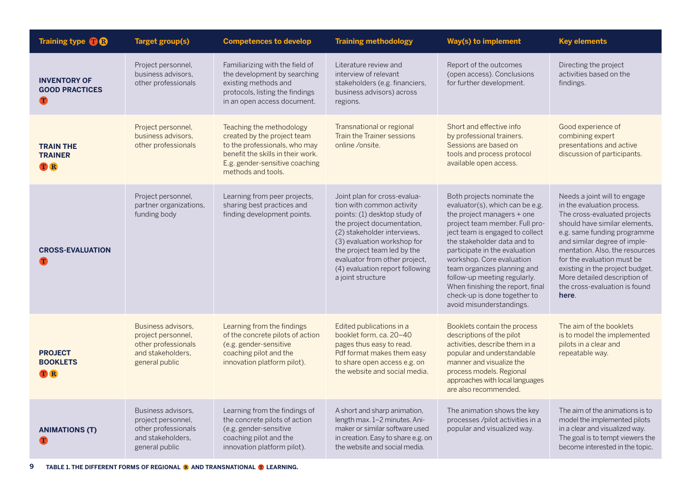| Training type <b>OB</b>                           | <b>Target group(s)</b>                                                                                 | <b>Competences to develop</b>                                                                                                                                                         | <b>Training methodology</b>                                                                                                                                                                                                                                                                                   | Way(s) to implement                                                                                                                                                                                                                                                                                                                                                                                                          | <b>Key elements</b>                                                                                                                                                                                                                                                                                                                                                     |
|---------------------------------------------------|--------------------------------------------------------------------------------------------------------|---------------------------------------------------------------------------------------------------------------------------------------------------------------------------------------|---------------------------------------------------------------------------------------------------------------------------------------------------------------------------------------------------------------------------------------------------------------------------------------------------------------|------------------------------------------------------------------------------------------------------------------------------------------------------------------------------------------------------------------------------------------------------------------------------------------------------------------------------------------------------------------------------------------------------------------------------|-------------------------------------------------------------------------------------------------------------------------------------------------------------------------------------------------------------------------------------------------------------------------------------------------------------------------------------------------------------------------|
| <b>INVENTORY OF</b><br><b>GOOD PRACTICES</b><br>T | Project personnel,<br>business advisors.<br>other professionals                                        | Familiarizing with the field of<br>the development by searching<br>existing methods and<br>protocols, listing the findings<br>in an open access document.                             | Literature review and<br>interview of relevant<br>stakeholders (e.g. financiers,<br>business advisors) across<br>regions.                                                                                                                                                                                     | Report of the outcomes<br>(open access). Conclusions<br>for further development.                                                                                                                                                                                                                                                                                                                                             | Directing the project<br>activities based on the<br>findings.                                                                                                                                                                                                                                                                                                           |
| <b>TRAIN THE</b><br><b>TRAINER</b><br><b>TR</b>   | Project personnel,<br>business advisors.<br>other professionals                                        | Teaching the methodology<br>created by the project team<br>to the professionals, who may<br>benefit the skills in their work.<br>E.g. gender-sensitive coaching<br>methods and tools. | Transnational or regional<br>Train the Trainer sessions<br>online /onsite.                                                                                                                                                                                                                                    | Short and effective info<br>by professional trainers.<br>Sessions are based on<br>tools and process protocol<br>available open access.                                                                                                                                                                                                                                                                                       | Good experience of<br>combining expert<br>presentations and active<br>discussion of participants.                                                                                                                                                                                                                                                                       |
| <b>CROSS-EVALUATION</b>                           | Project personnel,<br>partner organizations,<br>funding body                                           | Learning from peer projects.<br>sharing best practices and<br>finding development points.                                                                                             | Joint plan for cross-evalua-<br>tion with common activity<br>points: (1) desktop study of<br>the project documentation,<br>(2) stakeholder interviews,<br>(3) evaluation workshop for<br>the project team led by the<br>evaluator from other project,<br>(4) evaluation report following<br>a joint structure | Both projects nominate the<br>evaluator(s), which can be e.g.<br>the project managers + one<br>project team member. Full pro-<br>ject team is engaged to collect<br>the stakeholder data and to<br>participate in the evaluation<br>workshop. Core evaluation<br>team organizes planning and<br>follow-up meeting regularly.<br>When finishing the report, final<br>check-up is done together to<br>avoid misunderstandings. | Needs a joint will to engage<br>in the evaluation process.<br>The cross-evaluated projects<br>should have similar elements.<br>e.g. same funding programme<br>and similar degree of imple-<br>mentation. Also, the resources<br>for the evaluation must be<br>existing in the project budget.<br>More detailed description of<br>the cross-evaluation is found<br>here. |
| <b>PROJECT</b><br><b>BOOKLETS</b><br><b>TR</b>    | Business advisors.<br>project personnel,<br>other professionals<br>and stakeholders.<br>general public | Learning from the findings<br>of the concrete pilots of action<br>(e.g. gender-sensitive<br>coaching pilot and the<br>innovation platform pilot).                                     | Edited publications in a<br>booklet form, ca. 20-40<br>pages thus easy to read.<br>Pdf format makes them easy<br>to share open access e.g. on<br>the website and social media.                                                                                                                                | Booklets contain the process<br>descriptions of the pilot<br>activities, describe them in a<br>popular and understandable<br>manner and visualize the<br>process models. Regional<br>approaches with local languages<br>are also recommended.                                                                                                                                                                                | The aim of the booklets<br>is to model the implemented<br>pilots in a clear and<br>repeatable way.                                                                                                                                                                                                                                                                      |
| <b>ANIMATIONS (T)</b>                             | Business advisors,<br>project personnel,<br>other professionals<br>and stakeholders.<br>general public | Learning from the findings of<br>the concrete pilots of action<br>(e.g. gender-sensitive<br>coaching pilot and the<br>innovation platform pilot).                                     | A short and sharp animation,<br>length max. 1-2 minutes. Ani-<br>maker or similar software used<br>in creation. Easy to share e.g. on<br>the website and social media.                                                                                                                                        | The animation shows the key<br>processes /pilot activities in a<br>popular and visualized way.                                                                                                                                                                                                                                                                                                                               | The aim of the animations is to<br>model the implemented pilots<br>in a clear and visualized way.<br>The goal is to tempt viewers the<br>become interested in the topic.                                                                                                                                                                                                |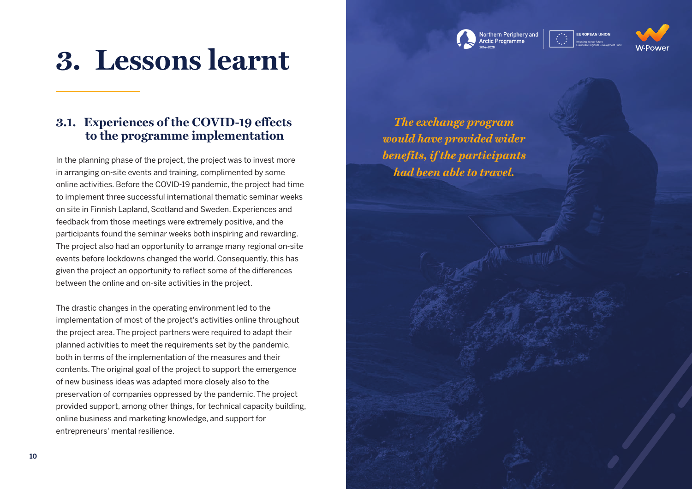





### **3. Lessons learnt**

### **3.1. Experiences of the COVID-19 effects to the programme implementation**

In the planning phase of the project, the project was to invest more in arranging on-site events and training, complimented by some online activities. Before the COVID-19 pandemic, the project had time to implement three successful international thematic seminar weeks on site in Finnish Lapland, Scotland and Sweden. Experiences and feedback from those meetings were extremely positive, and the participants found the seminar weeks both inspiring and rewarding. The project also had an opportunity to arrange many regional on-site events before lockdowns changed the world. Consequently, this has given the project an opportunity to reflect some of the differences between the online and on-site activities in the project.

The drastic changes in the operating environment led to the implementation of most of the project's activities online throughout the project area. The project partners were required to adapt their planned activities to meet the requirements set by the pandemic, both in terms of the implementation of the measures and their contents. The original goal of the project to support the emergence of new business ideas was adapted more closely also to the preservation of companies oppressed by the pandemic. The project provided support, among other things, for technical capacity building, online business and marketing knowledge, and support for entrepreneurs' mental resilience.

*The exchange program would have provided wider benefits, if the participants had been able to travel.*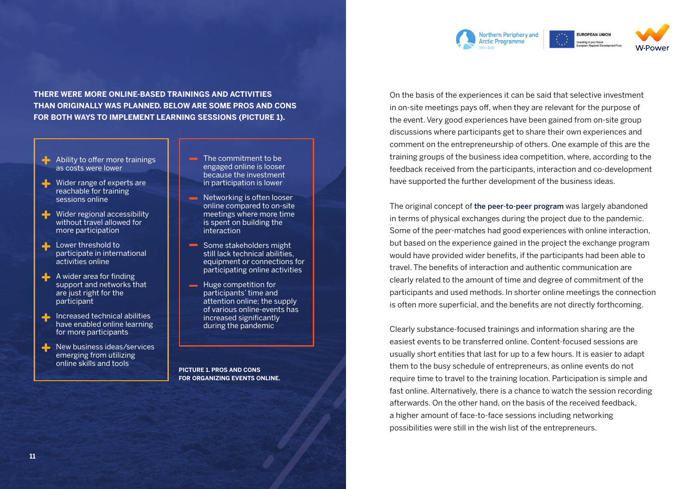

**THERE WERE MORE ONLINE-BASED TRAININGS AND ACTIVITIES THAN ORIGINALLY WAS PLANNED. BELOW ARE SOME PROS AND CONS FOR BOTH WAYS TO IMPLEMENT LEARNING SESSIONS (PICTURE 1).** 

- $\blacktriangle$  Ability to offer more trainings as costs were lower
- Wider range of experts are reachable for training sessions online
- Wider regional accessibility without travel allowed for more participation
- **Lower threshold to** participate in international activities online
- A wider area for finding support and networks that are just right for the participant
- Increased technical abilities have enabled online learning for more participants
- New business ideas/services emerging from utilizing online skills and tools
- $\blacksquare$  The commitment to be engaged online is looser because the investment in participation is lower
- **Networking is often looser** online compared to on-site meetings where more time is spent on building the interaction
- Some stakeholders might still lack technical abilities, equipment or connections for participating online activities
- **Huge competition for** participants' time and attention online; the supply of various online-events has increased significantly during the pandemic

**PICTURE 1. PROS AND CONS FOR ORGANIZING EVENTS ONLINE.** On the basis of the experiences it can be said that selective investment in on-site meetings pays off, when they are relevant for the purpose of the event. Very good experiences have been gained from on-site group discussions where participants get to share their own experiences and comment on the entrepreneurship of others. One example of this are the training groups of the business idea competition, where, according to the feedback received from the participants, interaction and co-development have supported the further development of the business ideas.

The original concept of [the peer-to-peer program](https://w-power.interreg-npa.eu/outputs-and-results/) was largely abandoned in terms of physical exchanges during the project due to the pandemic. Some of the peer-matches had good experiences with online interaction, but based on the experience gained in the project the exchange program would have provided wider benefits, if the participants had been able to travel. The benefits of interaction and authentic communication are clearly related to the amount of time and degree of commitment of the participants and used methods. In shorter online meetings the connection is often more superficial, and the benefits are not directly forthcoming.

Clearly substance-focused trainings and information sharing are the easiest events to be transferred online. Content-focused sessions are usually short entities that last for up to a few hours. It is easier to adapt them to the busy schedule of entrepreneurs, as online events do not require time to travel to the training location. Participation is simple and fast online. Alternatively, there is a chance to watch the session recording afterwards. On the other hand, on the basis of the received feedback, a higher amount of face-to-face sessions including networking possibilities were still in the wish list of the entrepreneurs.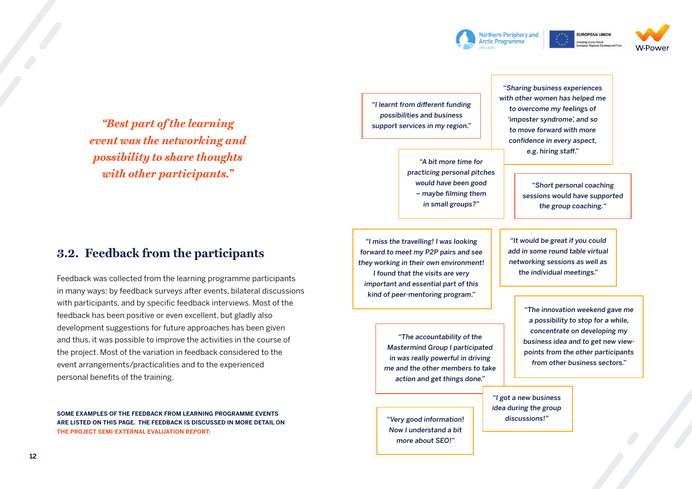



sting in your future

*"Best part of the learning event was the networking and possibility to share thoughts with other participants."*

### **3.2. Feedback from the participants**

Feedback was collected from the learning programme participants in many ways: by feedback surveys after events, bilateral discussions with participants, and by specific feedback interviews. Most of the feedback has been positive or even excellent, but gladly also development suggestions for future approaches has been given and thus, it was possible to improve the activities in the course of the project. Most of the variation in feedback considered to the event arrangements/practicalities and to the experienced personal benefits of the training.

**SOME EXAMPLES OF THE FEEDBACK FROM LEARNING PROGRAMME EVENTS ARE LISTED ON THIS PAGE. THE FEEDBACK IS DISCUSSED IN MORE DETAIL ON [THE PROJECT SEMI-EXTERNAL EVALUATION REPORT:](https://w-power.interreg-npa.eu/outputs-and-results/)**

"I learnt from different funding possibilities and business support services in my region."

> "A bit more time for practicing personal pitches would have been good – maybe filming them in small groups?"

"I miss the travelling! I was looking forward to meet my P2P pairs and see they working in their own environment! I found that the visits are very important and essential part of this kind of peer-mentoring program."

> "The accountability of the Mastermind Group I participated in was really powerful in driving me and the other members to take action and get things done."

"Very good information! Now I understand a bit more about SEO!"

"Sharing business experiences with other women has helped me to overcome my feelings of 'imposter syndrome', and so to move forward with more confidence in every aspect, e.g. hiring staff."

> "Short personal coaching sessions would have supported the group coaching."

"It would be great if you could add in some round table virtual networking sessions as well as the individual meetings."

> "The innovation weekend gave me a possibility to stop for a while, concentrate on developing my business idea and to get new viewpoints from the other participants from other business sectors."

"I got a new business idea during the group discussions!"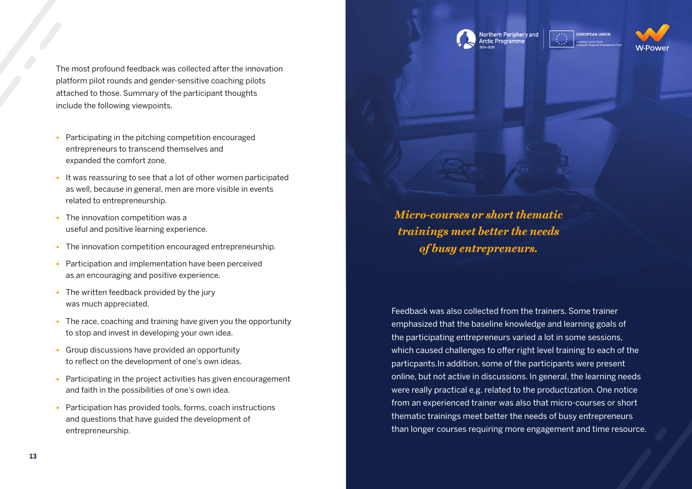The most profound feedback was collected after the innovation platform pilot rounds and gender-sensitive coaching pilots attached to those. Summary of the participant thoughts include the following viewpoints.

- **•** Participating in the pitching competition encouraged entrepreneurs to transcend themselves and expanded the comfort zone.
- **•** It was reassuring to see that a lot of other women participated as well, because in general, men are more visible in events related to entrepreneurship.
- **•** The innovation competition was a useful and positive learning experience.
- **•** The innovation competition encouraged entrepreneurship.
- **•** Participation and implementation have been perceived as an encouraging and positive experience.
- **•** The written feedback provided by the jury was much appreciated.
- **•** The race, coaching and training have given you the opportunity to stop and invest in developing your own idea.
- **•** Group discussions have provided an opportunity to reflect on the development of one's own ideas.
- **•** Participating in the project activities has given encouragement and faith in the possibilities of one's own idea.
- **•** Participation has provided tools, forms, coach instructions and questions that have guided the development of entrepreneurship.

*Micro-courses or short thematic trainings meet better the needs of busy entrepreneurs.*

Northern Periphery and

Arctic Programme

**EUROPEAN UNION** 

Feedback was also collected from the trainers. Some trainer emphasized that the baseline knowledge and learning goals of the participating entrepreneurs varied a lot in some sessions, which caused challenges to offer right level training to each of the particpants.In addition, some of the participants were present online, but not active in discussions. In general, the learning needs were really practical e.g. related to the productization. One notice from an experienced trainer was also that micro-courses or short thematic trainings meet better the needs of busy entrepreneurs than longer courses requiring more engagement and time resource.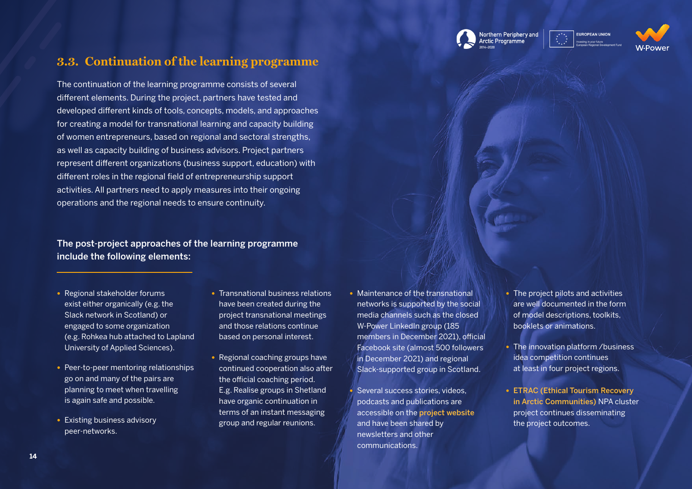

**EUROPEAN UNION** 



### **3.3. Continuation of the learning programme**

The continuation of the learning programme consists of several different elements. During the project, partners have tested and developed different kinds of tools, concepts, models, and approaches for creating a model for transnational learning and capacity building of women entrepreneurs, based on regional and sectoral strengths, as well as capacity building of business advisors. Project partners represent different organizations (business support, education) with different roles in the regional field of entrepreneurship support activities. All partners need to apply measures into their ongoing operations and the regional needs to ensure continuity.

#### The post-project approaches of the learning programme include the following elements:

- **•** Regional stakeholder forums exist either organically (e.g. the Slack network in Scotland) or engaged to some organization (e.g. Rohkea hub attached to Lapland University of Applied Sciences).
- **•** Peer-to-peer mentoring relationships go on and many of the pairs are planning to meet when travelling is again safe and possible.
- peer-networks.
- **•** Transnational business relations have been created during the project transnational meetings and those relations continue based on personal interest.
- **•** Regional coaching groups have continued cooperation also after the official coaching period. E.g. Realise groups in Shetland have organic continuation in terms of an instant messaging • Existing business advisory **••** existing business advisory **•• ••** existing business.
- **•** Maintenance of the transnational networks is supported by the social media channels such as the closed W-Power LinkedIn group (185 members in December 2021), official Facebook site (almost 500 followers in December 2021) and regional Slack-supported group in Scotland.
- **•** Several success stories, videos, podcasts and publications are accessible on the [project website](https://w-power.interreg-npa.eu)  and have been shared by newsletters and other communications.
- **•** The project pilots and activities are well documented in the form of model descriptions, toolkits, booklets or animations.
- **•** The innovation platform /business idea competition continues at least in four project regions.
- **•** [ETRAC \(Ethical Tourism Recovery](https://etrac.interreg-npa.eu)  [in Arctic Communities\)](https://etrac.interreg-npa.eu) NPA cluster project continues disseminating the project outcomes.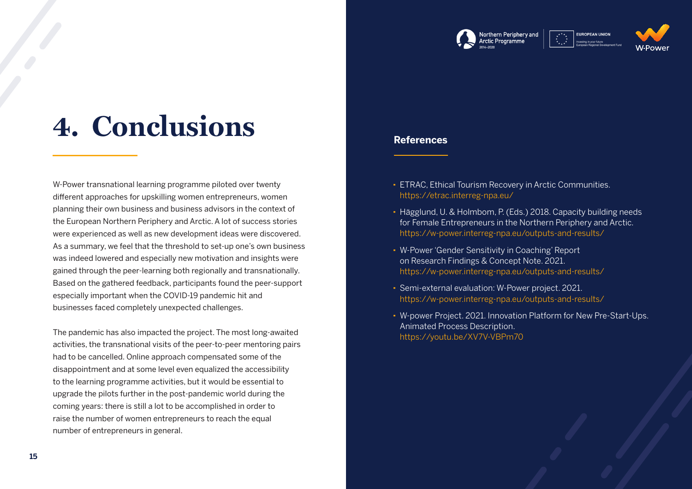

## **4. Conclusions**

W-Power transnational learning programme piloted over twenty different approaches for upskilling women entrepreneurs, women planning their own business and business advisors in the context of the European Northern Periphery and Arctic. A lot of success stories were experienced as well as new development ideas were discovered. As a summary, we feel that the threshold to set-up one's own business was indeed lowered and especially new motivation and insights were gained through the peer-learning both regionally and transnationally. Based on the gathered feedback, participants found the peer-support especially important when the COVID-19 pandemic hit and businesses faced completely unexpected challenges.

The pandemic has also impacted the project. The most long-awaited activities, the transnational visits of the peer-to-peer mentoring pairs had to be cancelled. Online approach compensated some of the disappointment and at some level even equalized the accessibility to the learning programme activities, but it would be essential to upgrade the pilots further in the post-pandemic world during the coming years: there is still a lot to be accomplished in order to raise the number of women entrepreneurs to reach the equal number of entrepreneurs in general.

- · ETRAC, Ethical Tourism Recovery in Arctic Communities. https://etrac.interreg-npa.eu/
- · Hägglund, U. & Holmbom, P. (Eds.) 2018. Capacity building needs for Female Entrepreneurs in the Northern Periphery and Arctic. https://w-power.interreg-npa.eu/outputs-and-results/
- · W-Power 'Gender Sensitivity in Coaching' Report on Research Findings & Concept Note. 2021. https://w-power.interreg-npa.eu/outputs-and-results/
- · Semi-external evaluation: W-Power project. 2021. https://w-power.interreg-npa.eu/outputs-and-results/
- · W-power Project. 2021. Innovation Platform for New Pre-Start-Ups. Animated Process Description. https://youtu.be/XV7V-VBPm70